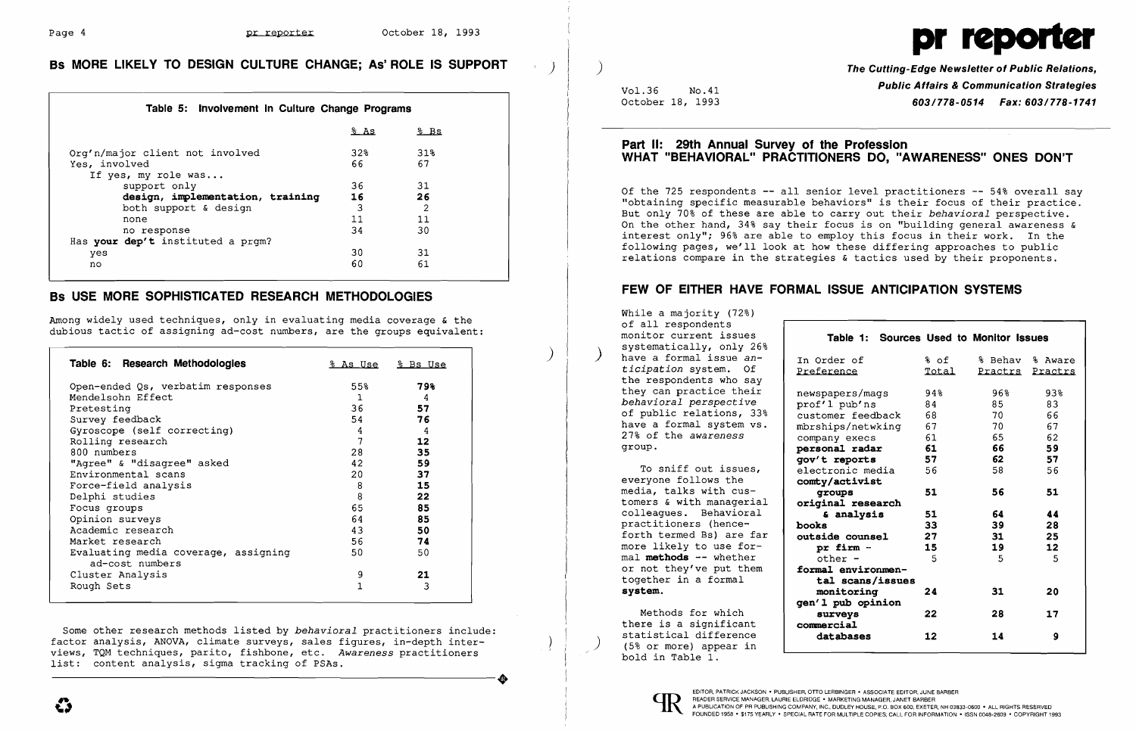

)

# **Bs MORE LIKELY TO DESIGN CULTURE CHANGE; As' ROLE IS SUPPORT**

### **Table 5: Involvement In Culture Change Programs**

|                                      | 8AS             | % Bs |
|--------------------------------------|-----------------|------|
| Org'n/major client not involved      | 32 <sub>8</sub> | 318  |
| Yes, involved<br>If yes, my role was | 66              | 67   |
| support only                         | 36              | 31   |
| design, implementation, training     | 16              | 26   |
| both support & design                | 3               | 2    |
| none                                 | 11              | 11   |
| no response                          | 34              | 30   |
| Has your dep't instituted a prgm?    |                 |      |
| yes                                  | 30              | 31   |
| no                                   | 60              | 61   |

## **Bs USE MORE SOPHISTICATED RESEARCH METHODOLOGIES**

Among widely used techniques, only in evaluating media coverage & the dubious tactic of assigning ad-cost numbers, are the groups equivalent:

Some other research methods listed by *behavioral* practitioners include: factor analysis, ANOVA, climate surveys, sales figures, in-depth interfactor analysis, ANOVA, climate surveys, sales figures, in-depth inter-<br>views, TQM techniques, parito, fishbone, etc. *Awareness* practitioners<br>list: content analysis, sigma tracking of PSAs. views, rgh econniques, purico, rishbone, ecc. A

| Table 6: Research Methodologies                         |     | <u>% As Use % Bs Use</u> |
|---------------------------------------------------------|-----|--------------------------|
| Open-ended Qs, verbatim responses                       | 55% | 798                      |
| Mendelsohn Effect                                       | 1   | 4                        |
| Pretesting                                              | 36  | 57                       |
| Survey feedback                                         | 54  | 76                       |
| Gyroscope (self correcting)                             | 4   | 4                        |
| Rolling research                                        | 7   | 12                       |
| 800 numbers                                             | 28  | 35                       |
| "Agree" & "disagree" asked                              | 42  | 59                       |
| Environmental scans                                     | 20  | 37                       |
| Force-field analysis                                    | 8   | 15                       |
| Delphi studies                                          | 8   | 22                       |
| Focus groups                                            | 65  | 85                       |
| Opinion surveys                                         | 64  | 85                       |
| Academic research                                       | 43  | 50                       |
| Market research                                         | 56  | 74                       |
| Evaluating media coverage, assigning<br>ad-cost numbers | 50  | 50                       |
| Cluster Analysis                                        | 9   | 21                       |
| Rough Sets                                              |     | 3                        |

)

 $\vert \vert$  )

Vo1.36 No.41 October 18, 1993

### **Part II: 29th Annual Survey of the Profession WHAT "BEHAVIORAL" PRACTITIONERS DO, "AWARENESS" ONES DON'T**

Of the 725 respondents **--** all senior level practitioners **--** 54% overall say "obtaining specific measurable behaviors" is their focus of their practice. But only 70% of these are able to carry out their *behavioral* perspective. On the other hand, 34% say their focus is on "building general awareness  $\alpha$ interest only"; 96% are able to employ this focus in their work. In the following pages, we'll look at how these differing approaches to public relations compare in the strategies & tactics used by their proponents.

# **FEW OF EITHER HAVE FORMAL ISSUE ANTICIPATION SYSTEMS**

While a majority (72%) of all respondents monitor current issues systematically, only 26% have a formal issue an*ticipation* system. Of the respondents who say they can practice their *behavioral perspective*  of public relations, 33% have a formal system vs. 27% of the *awareness*  group.

To sniff out issues, everyone follows the media, talks with customers & with managerial colleagues. Behavioral practitioners (henceforth termed Bs) are far more likely to use formal **methods --** whether or not they've put them together in a formal **system.** 

Methods for which there is a significant<br>statistical difference  $(5)$  or more) appear in bold in Table 1.

In Order Preferen

newspape prof'l p customer mbrships company personal **gov't reports 57**  electron comty/ac **groups 51 original research books 33 outside counsel 27 pr firm 15**  othe. formal  $\epsilon$ 

 $t$ al moni<sup>t</sup> **gen'l pub opinion**  surv **commercial**  datal

**The Cutting-Edge Newsletter of Public Relations, Public Affairs & Communication Strategies**  *603/778-0514 Fax: 603/778-1741* 

| Table 1: Sources Used to Monitor Issues |       |                 |                 |
|-----------------------------------------|-------|-----------------|-----------------|
| rder of                                 | % of  | % Behav % Aware |                 |
| erence                                  | Total |                 | Practrs Practrs |
| papers/mags                             | 94%   | 96%             | 93%             |
| 'l pub'ns                               | 84    | 85              | 83              |
| omer feedback                           | 68    | 70              | 66              |
| hips/netwking                           | 67    | 70              | 67              |
| any execs                               | 61    | 65              | 62              |
| <b>onal radar</b>                       | 61    | 66              | 59              |
| t reports                               | 57    | 62              | 57              |
| tronic media                            | 56    | 58              | 56              |
| y/activist                              |       |                 |                 |
| roups                                   | 51    | 56              | 51              |
| inal research                           |       |                 |                 |
| & analysis                              | 51    | 64              | 44              |
| S.                                      | 33    | 39              | 28              |
| <b>ide counsel</b>                      | 27    | 31              | 25              |
| r firm -                                | 15    | 19              | 12              |
| ther -                                  | - 5   | -5              | -5              |
| <b>al environmen-</b>                   |       |                 |                 |
| al scans/issues                         |       |                 |                 |
| onitoring                               | 24    | 31              | 20              |
| l pub opinion                           |       |                 |                 |
| urveys<br>ercial                        | 22    | 28              | 17              |
| atabases                                | 12    | 14              | 9               |
|                                         |       |                 |                 |

EDITOR, PATRICK JACKSON • PUBLISHER, OTTO LERBINGER • ASSOCIATE EDITOR, JUNE BARBER

FOUNDED 1958 . \$175 YEARLY . SPECIAL RATE FOR MULTIPLE COPIES: CALL FOR INFORMATION . ISSN 0048-2609 . COPYRIGHT 1993